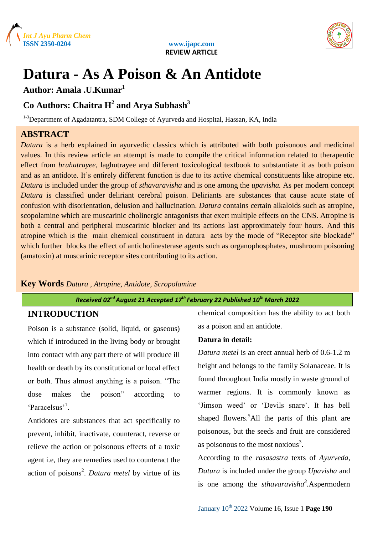





## **Datura - As A Poison & An Antidote**

**Author: Amala .U.Kumar<sup>1</sup>**

### **Co Authors: Chaitra H<sup>2</sup> and Arya Subhash<sup>3</sup>**

<sup>1-3</sup>Department of Agadatantra, SDM College of Ayurveda and Hospital, Hassan, KA, India

#### **ABSTRACT**

*Datura* is a herb explained in ayurvedic classics which is attributed with both poisonous and medicinal values. In this review article an attempt is made to compile the critical information related to therapeutic effect from *bruhatrayee*, laghutrayee and different toxicological textbook to substantiate it as both poison and as an antidote. It's entirely different function is due to its active chemical constituents like atropine etc. *Datura* is included under the group of *sthavaravisha* and is one among the *upavisha.* As per modern concept *Datura* is classified under deliriant cerebral poison. Deliriants are substances that cause acute state of confusion with disorientation, delusion and hallucination. *Datura* contains certain alkaloids such as atropine, scopolamine which are muscarinic cholinergic antagonists that exert multiple effects on the CNS. Atropine is both a central and peripheral muscarinic blocker and its actions last approximately four hours. And this atropine which is the main chemical constituent in datura acts by the mode of "Receptor site blockade" which further blocks the effect of anticholinesterase agents such as organophosphates, mushroom poisoning (amatoxin) at muscarinic receptor sites contributing to its action.

#### **Key Words** *Datura , Atropine, Antidote, Scropolamine*

#### *Received 02ndAugust 21 Accepted 17 th February 22 Published 10th March 2022*

#### **INTRODUCTION**

Poison is a substance (solid, liquid, or gaseous) which if introduced in the living body or brought into contact with any part there of will produce ill health or death by its constitutional or local effect or both. Thus almost anything is a poison. "The dose makes the poison" according to 'Paracelsus'<sup>1</sup>.

Antidotes are substances that act specifically to prevent, inhibit, inactivate, counteract, reverse or relieve the action or poisonous effects of a toxic agent i.e, they are remedies used to counteract the action of poisons<sup>2</sup>. *Datura metel* by virtue of its chemical composition has the ability to act both as a poison and an antidote.

#### **Datura in detail:**

*Datura metel* is an erect annual herb of 0.6-1.2 m height and belongs to the family Solanaceae. It is found throughout India mostly in waste ground of warmer regions. It is commonly known as 'Jimson weed' or 'Devils snare'. It has bell shaped flowers.<sup>5</sup>All the parts of this plant are poisonous, but the seeds and fruit are considered as poisonous to the most noxious $3$ .

According to the *rasasastra* texts of *Ayurveda*, *Datura* is included under the group *Upavisha* and is one among the *sthavaravisha<sup>3</sup> .*Aspermodern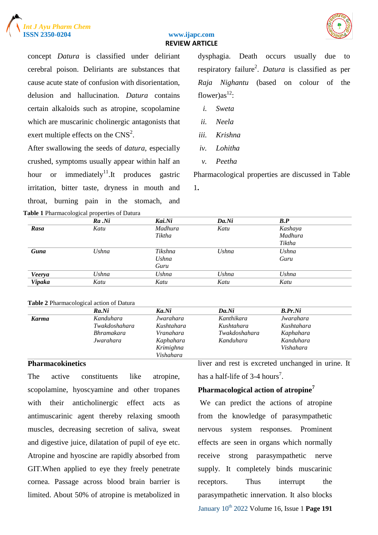



concept *Datura* is classified under deliriant cerebral poison. Deliriants are substances that cause acute state of confusion with disorientation, delusion and hallucination. *Datura* contains certain alkaloids such as atropine, scopolamine which are muscarinic cholinergic antagonists that exert multiple effects on the  $CNS<sup>2</sup>$ .

After swallowing the seeds of *datura,* especially crushed, symptoms usually appear within half an hour or immediately<sup>11</sup>. It produces gastric irritation, bitter taste, dryness in mouth and throat, burning pain in the stomach, and **Table 1** Pharmacological properties of Datura

dysphagia. Death occurs usually due to respiratory failure<sup>2</sup>. *Datura* is classified as per *Raja Nighantu* (based on colour of the flower) $as<sup>12</sup>$ :

- *i. Sweta*
- *ii. Neela*
- *iii. Krishna*
- *iv. Lohitha*
- *v. Peetha*

Pharmacological properties are discussed in Table 1**.**

|               | $Ra$ . $Ni$ | Kai.Ni  | Da.Ni | $\bm{B}.\bm{P}$ |  |
|---------------|-------------|---------|-------|-----------------|--|
| Rasa          | Katu        | Madhura | Katu  | Kashaya         |  |
|               |             | Tiktha  |       | Madhura         |  |
|               |             |         |       | Tiktha          |  |
| Guna          | Ushna       | Tikshna | Ushna | Ushna           |  |
|               |             | Ushna   |       | Guru            |  |
|               |             | Guru    |       |                 |  |
| Veerya        | Ushna       | Ushna   | Ushna | Ushna           |  |
| <b>Vipaka</b> | Katu        | Katu    | Katu  | Katu            |  |

#### **Table 2** Pharmacological action of Datura

|              | ັ                 |            |               |            |  |
|--------------|-------------------|------------|---------------|------------|--|
|              | Ra.Ni             | Ka.Ni      | Da.Ni         | B.Pr.Ni    |  |
| <b>Karma</b> | Kanduhara         | Jwarahara  | Kanthikara    | Jwarahara  |  |
|              | Twakdoshahara     | Kushtahara | Kushtahara    | Kushtahara |  |
|              | <b>Bhramakara</b> | Vranahara  | Twakdoshahara | Kaphahara  |  |
|              | Jwarahara         | Kaphahara  | Kanduhara     | Kanduhara  |  |
|              |                   | Krimighna  |               | Vishahara  |  |
|              |                   | Vishahara  |               |            |  |

#### **Pharmacokinetics**

The active constituents like atropine, scopolamine, hyoscyamine and other tropanes with their anticholinergic effect acts as antimuscarinic agent thereby relaxing smooth muscles, decreasing secretion of saliva, sweat and digestive juice, dilatation of pupil of eye etc. Atropine and hyoscine are rapidly absorbed from GIT.When applied to eye they freely penetrate cornea. Passage across blood brain barrier is limited. About 50% of atropine is metabolized in liver and rest is excreted unchanged in urine. It has a half-life of 3-4 hours<sup>7</sup>.

#### **Pharmacological action of atropine<sup>7</sup>**

January 10th 2022 Volume 16, Issue 1 **Page 191** We can predict the actions of atropine from the knowledge of parasympathetic nervous system responses. Prominent effects are seen in organs which normally receive strong parasympathetic nerve supply. It completely binds muscarinic receptors. Thus interrupt the parasympathetic innervation. It also blocks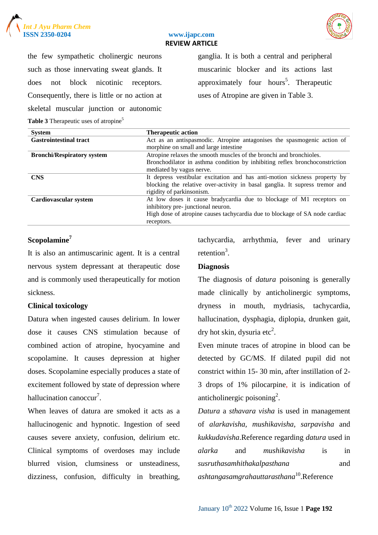



the few sympathetic cholinergic neurons such as those innervating sweat glands. It does not block nicotinic receptors. Consequently, there is little or no action at skeletal muscular junction or autonomic **Table 3** Therapeutic uses of atropine<sup>5</sup>

ganglia. It is both a central and peripheral muscarinic blocker and its actions last approximately four hours<sup>5</sup>. Therapeutic uses of Atropine are given in Table 3.

| <b>System</b>                     | <b>Therapeutic action</b>                                                   |  |
|-----------------------------------|-----------------------------------------------------------------------------|--|
| <b>Gastrointestinal tract</b>     | Act as an antispasmodic. Atropine antagonises the spasmogenic action of     |  |
|                                   | morphine on small and large intestine                                       |  |
| <b>Bronchi/Respiratory system</b> | Atropine relaxes the smooth muscles of the bronchi and bronchioles.         |  |
|                                   | Bronchodilator in asthma condition by inhibiting reflex bronchoconstriction |  |
|                                   | mediated by vagus nerve.                                                    |  |
| <b>CNS</b>                        | It depress vestibular excitation and has anti-motion sickness property by   |  |
|                                   | blocking the relative over-activity in basal ganglia. It supress tremor and |  |
|                                   | rigidity of parkinsonism.                                                   |  |
| Cardiovascular system             | At low doses it cause bradycardia due to blockage of M1 receptors on        |  |
|                                   | inhibitory pre-junctional neuron.                                           |  |
|                                   | High dose of atropine causes tachycardia due to blockage of SA node cardiac |  |
|                                   | receptors.                                                                  |  |

#### **Scopolamine<sup>7</sup>**

It is also an antimuscarinic agent. It is a central nervous system depressant at therapeutic dose and is commonly used therapeutically for motion sickness.

#### **Clinical toxicology**

Datura when ingested causes delirium. In lower dose it causes CNS stimulation because of combined action of atropine, hyocyamine and scopolamine. It causes depression at higher doses. Scopolamine especially produces a state of excitement followed by state of depression where hallucination canoccur<sup>7</sup>.

When leaves of datura are smoked it acts as a hallucinogenic and hypnotic. Ingestion of seed causes severe anxiety, confusion, delirium etc. Clinical symptoms of overdoses may include blurred vision, clumsiness or unsteadiness, dizziness, confusion, difficulty in breathing, tachycardia, arrhythmia, fever and urinary retention<sup>3</sup>.

#### **Diagnosis**

The diagnosis of *datura* poisoning is generally made clinically by anticholinergic symptoms, dryness in mouth, mydriasis, tachycardia, hallucination, dysphagia, diplopia, drunken gait, dry hot skin, dysuria etc<sup>2</sup>.

Even minute traces of atropine in blood can be detected by GC/MS. If dilated pupil did not constrict within 15- 30 min, after instillation of 2- 3 drops of 1% pilocarpine, it is indication of anticholinergic poisoning<sup>2</sup>.

*Datura* a *sthavara visha* is used in management of *alarkavisha, mushikavisha, sarpavisha* and *kukkudavisha*.Reference regarding *datura* used in *alarka* and *mushikavisha* is in *susruthasamhithakalpasthana* and *ashtangasamgrahauttarasthana*<sup>10</sup> .Reference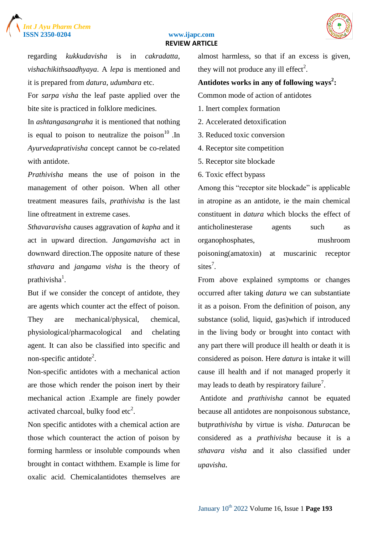# *Int J Ayu Pharm Chem*



#### www.ijapc.com  **REVIEW ARTICLE**

regarding *kukkudavisha* is in *cakradatta*, *vishachikithsaadhyaya*. A *lepa* is mentioned and it is prepared from *datura*, *udumbara* etc.

For *sarpa visha* the leaf paste applied over the bite site is practiced in folklore medicines.

In *ashtangasangraha* it is mentioned that nothing is equal to poison to neutralize the poison  $10^{\circ}$ . In *Ayurvedaprativisha* concept cannot be co-related with antidote.

*Prathivisha* means the use of poison in the management of other poison. When all other treatment measures fails, *prathivisha* is the last line oftreatment in extreme cases.

*Sthavaravisha* causes aggravation of *kapha* and it act in upward direction. *Jangamavisha* act in downward direction.The opposite nature of these *sthavara* and *jangama visha* is the theory of prathivisha $^1$ .

But if we consider the concept of antidote, they are agents which counter act the effect of poison. They are mechanical/physical, chemical, physiological/pharmacological and chelating agent. It can also be classified into specific and non-specific antidote<sup>2</sup>.

Non-specific antidotes with a mechanical action are those which render the poison inert by their mechanical action .Example are finely powder activated charcoal, bulky food etc<sup>2</sup>.

Non specific antidotes with a chemical action are those which counteract the action of poison by forming harmless or insoluble compounds when brought in contact withthem. Example is lime for oxalic acid. Chemicalantidotes themselves are almost harmless, so that if an excess is given, they will not produce any ill effect<sup>2</sup>.

#### **Antidotes works in any of following ways<sup>2</sup> :**

Common mode of action of antidotes

- 1. Inert complex formation
- 2. Accelerated detoxification
- 3. Reduced toxic conversion
- 4. Receptor site competition
- 5. Receptor site blockade
- 6. Toxic effect bypass

Among this "receptor site blockade" is applicable in atropine as an antidote, ie the main chemical constituent in *datura* which blocks the effect of anticholinesterase agents such as organophosphates, mushroom poisoning(amatoxin) at muscarinic receptor sites<sup>7</sup>.

From above explained symptoms or changes occurred after taking *datura* we can substantiate it as a poison. From the definition of poison, any substance (solid, liquid, gas)which if introduced in the living body or brought into contact with any part there will produce ill health or death it is considered as poison. Here *datura* is intake it will cause ill health and if not managed properly it may leads to death by respiratory failure<sup>7</sup>.

Antidote and *prathivisha* cannot be equated because all antidotes are nonpoisonous substance, but*prathivisha* by virtue is *visha*. *Datura*can be considered as a *prathivisha* because it is a *sthavara visha* and it also classified under *upavisha.*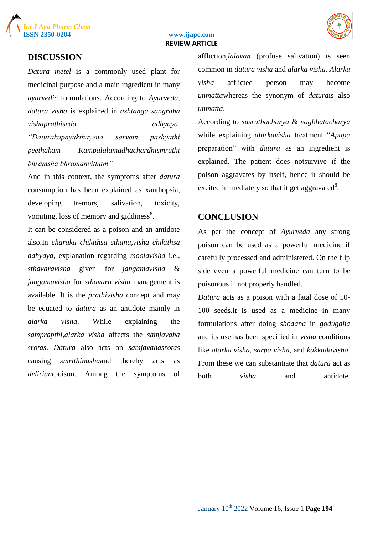



#### **DISCUSSION**

*Datura metel* is a commonly used plant for medicinal purpose and a main ingredient in many *ayurvedic* formulations. According to *Ayurveda, datura visha* is explained in *ashtanga sangraha vishaprathiseda adhyaya*. *"Daturakopayukthayena sarvam pashyathi peethakam Kampalalamadhachardhismruthi bhramsha bhramanvitham"*

And in this context, the symptoms after *datura* consumption has been explained as xanthopsia, developing tremors, salivation, toxicity, vomiting, loss of memory and giddiness $8$ .

It can be considered as a poison and an antidote also.In *charaka chikithsa sthana,visha chikithsa adhyaya*, explanation regarding *moolavisha* i.e., *sthavaravisha* given for *jangamavisha* & *jangamavisha* for *sthavara visha* management is available. It is the *prathivisha* concept and may be equated to *datura* as an antidote mainly in *alarka visha*. While explaining the *samprapthi,alarka visha* affects the *samjavaha srotas*. *Datura* also acts on *samjavahasrotas* causing *smrithinasha*and thereby acts as *deliriant*poison. Among the symptoms of affliction*,lalavan* (profuse salivation) is seen common in *datura visha* and *alarka visha*. *Alarka visha* afflicted person may become *unmatta*whereas the synonym of *datura*is also *unmatta*.

According to *susruthacharya* & *vagbhatacharya* while explaining *alarkavisha* treatment "*Apupa* preparation" with *datura* as an ingredient is explained. The patient does notsurvive if the poison aggravates by itself, hence it should be excited immediately so that it get aggravated $8$ .

#### **CONCLUSION**

As per the concept of *Ayurveda* any strong poison can be used as a powerful medicine if carefully processed and administered. On the flip side even a powerful medicine can turn to be poisonous if not properly handled.

*Datura* acts as a poison with a fatal dose of 50- 100 seeds.it is used as a medicine in many formulations after doing *shodana* in *godugdha* and its use has been specified in *visha* conditions like *alarka visha*, *sarpa visha*, and *kukkudavisha.* From these we can substantiate that *datura* act as both *visha* and antidote.